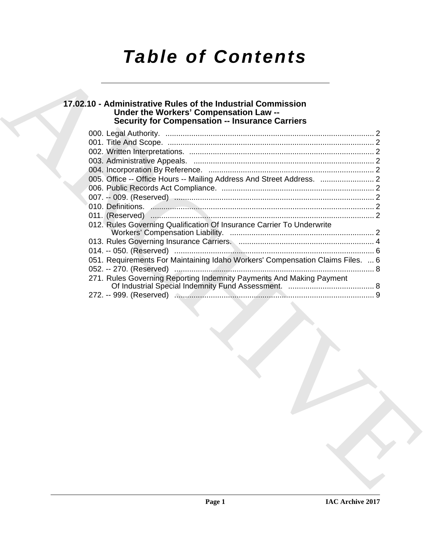# *Table of Contents*

# **17.02.10 - Administrative Rules of the Industrial Commission Under the Workers' Compensation Law -- Security for Compensation -- Insurance Carriers**

| <b>Security for Compensation -- Insurance Carriers</b>                         |  |
|--------------------------------------------------------------------------------|--|
|                                                                                |  |
|                                                                                |  |
|                                                                                |  |
|                                                                                |  |
| 005. Office -- Office Hours -- Mailing Address And Street Address.  2          |  |
|                                                                                |  |
|                                                                                |  |
|                                                                                |  |
|                                                                                |  |
| 012. Rules Governing Qualification Of Insurance Carrier To Underwrite          |  |
|                                                                                |  |
|                                                                                |  |
| 051. Requirements For Maintaining Idaho Workers' Compensation Claims Files.  6 |  |
|                                                                                |  |
| 271. Rules Governing Reporting Indemnity Payments And Making Payment           |  |
|                                                                                |  |
|                                                                                |  |
|                                                                                |  |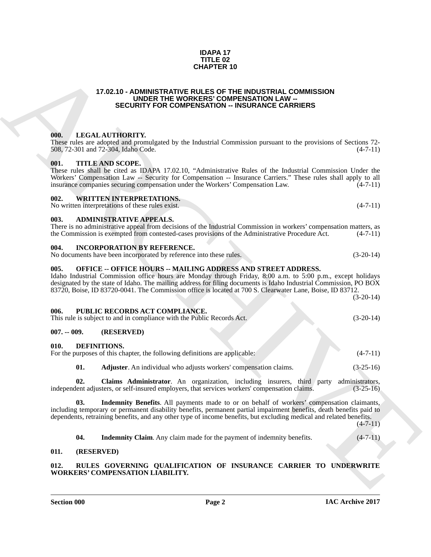### **IDAPA 17 TITLE 02 CHAPTER 10**

### **17.02.10 - ADMINISTRATIVE RULES OF THE INDUSTRIAL COMMISSION UNDER THE WORKERS' COMPENSATION LAW -- SECURITY FOR COMPENSATION -- INSURANCE CARRIERS**

### <span id="page-1-1"></span><span id="page-1-0"></span>**000. LEGAL AUTHORITY.**

These rules are adopted and promulgated by the Industrial Commission pursuant to the provisions of Sections 72-<br>508, 72-301 and 72-304, Idaho Code. (4-7-11) 508, 72-301 and 72-304, Idaho Code.

### <span id="page-1-2"></span>**001. TITLE AND SCOPE.**

These rules shall be cited as IDAPA 17.02.10, "Administrative Rules of the Industrial Commission Under the Workers' Compensation Law -- Security for Compensation -- Insurance Carriers." These rules shall apply to all insurance companies securing compensation under the Workers' Compensation Law. (4-7-11) insurance companies securing compensation under the Workers' Compensation Law.

### <span id="page-1-3"></span>**002. WRITTEN INTERPRETATIONS.**

No written interpretations of these rules exist. (4-7-11)

### <span id="page-1-4"></span>**003. ADMINISTRATIVE APPEALS.**

There is no administrative appeal from decisions of the Industrial Commission in workers' compensation matters, as the Commission is exempted from contested-cases provisions of the Administrative Procedure Act. (4-7-11)

### <span id="page-1-5"></span>**004. INCORPORATION BY REFERENCE.**

No documents have been incorporated by reference into these rules. (3-20-14)

### <span id="page-1-6"></span>**005. OFFICE -- OFFICE HOURS -- MAILING ADDRESS AND STREET ADDRESS.**

17.02.10 - **ADMISTRATIVE COMPENSATION COMPRESSATION**<br> **ECONOMISTICATION CONFERENCES COMPENSATION COMPRESSATION**<br> **ECONOMISTICATION CONFERENCES COMPENSATION CONTERENTS**<br> **ORDER THE ARCHIVE CONFERENCES COMPRESSATION CONTE** Idaho Industrial Commission office hours are Monday through Friday, 8:00 a.m. to 5:00 p.m., except holidays designated by the state of Idaho. The mailing address for filing documents is Idaho Industrial Commission, PO BOX 83720, Boise, ID 83720-0041. The Commission office is located at 700 S. Clearwater Lane, Boise, ID 83712.

(3-20-14)

### <span id="page-1-7"></span>**006. PUBLIC RECORDS ACT COMPLIANCE.**

This rule is subject to and in compliance with the Public Records Act. (3-20-14)

### <span id="page-1-8"></span>**007. -- 009. (RESERVED)**

### <span id="page-1-12"></span><span id="page-1-9"></span>**010. DEFINITIONS.**

| For the purposes of this chapter, the following definitions are applicable: |  | $(4-7-11)$ |
|-----------------------------------------------------------------------------|--|------------|
|                                                                             |  |            |

<span id="page-1-15"></span><span id="page-1-14"></span><span id="page-1-13"></span>**01. Adjuster**. An individual who adjusts workers' compensation claims. (3-25-16)

**02.** Claims Administrator. An organization, including insurers, third party administrators, lent adjusters, or self-insured employers, that services workers' compensation claims. (3-25-16) independent adjusters, or self-insured employers, that services workers' compensation claims.

**03. Indemnity Benefits**. All payments made to or on behalf of workers' compensation claimants, including temporary or permanent disability benefits, permanent partial impairment benefits, death benefits paid to dependents, retraining benefits, and any other type of income benefits, but excluding medical and related benefits.

(4-7-11)

<span id="page-1-17"></span><span id="page-1-16"></span>**04.** Indemnity Claim. Any claim made for the payment of indemnity benefits.  $(4-7-11)$ 

### <span id="page-1-10"></span>**011. (RESERVED)**

### <span id="page-1-11"></span>**012. RULES GOVERNING QUALIFICATION OF INSURANCE CARRIER TO UNDERWRITE WORKERS' COMPENSATION LIABILITY.**

**Section 000 Page 2**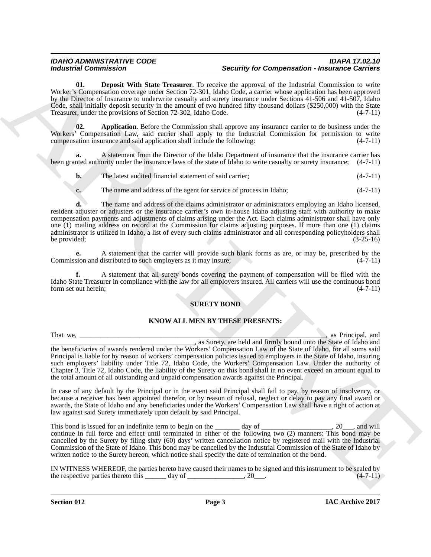### *IDAHO ADMINISTRATIVE CODE IDAPA 17.02.10 Security for Compensation - Insurance Carriers*

<span id="page-2-1"></span>**01. Deposit With State Treasurer**. To receive the approval of the Industrial Commission to write Worker's Compensation coverage under Section 72-301, Idaho Code, a carrier whose application has been approved by the Director of Insurance to underwrite casualty and surety insurance under Sections 41-506 and 41-507, Idaho Code, shall initially deposit security in the amount of two hundred fifty thousand dollars (\$250,000) with the State Treasurer, under the provisions of Section 72-302, Idaho Code. (4-7-11)

<span id="page-2-0"></span>**02. Application**. Before the Commission shall approve any insurance carrier to do business under the Workers' Compensation Law, said carrier shall apply to the Industrial Commission for permission to write compensation insurance and said application shall include the following: (4-7-11)

**a.** A statement from the Director of the Idaho Department of insurance that the insurance carrier has been granted authority under the insurance laws of the state of Idaho to write casualty or surety insurance; (4-7-11)

**b.** The latest audited financial statement of said carrier; (4-7-11)

**c.** The name and address of the agent for service of process in Idaho; (4-7-11)

**d.** The name and address of the claims administrator or administrators employing an Idaho licensed, resident adjuster or adjusters or the insurance carrier's own in-house Idaho adjusting staff with authority to make compensation payments and adjustments of claims arising under the Act. Each claims administrator shall have only one (1) mailing address on record at the Commission for claims adjusting purposes. If more than one (1) claims administrator is utilized in Idaho, a list of every such claims administrator and all corresponding policyholders shall<br>(3-25-16) be provided;  $(3-25-16)$ 

**e.** A statement that the carrier will provide such blank forms as are, or may be, prescribed by the sion and distributed to such employers as it may insure:  $(4-7-11)$ Commission and distributed to such employers as it may insure;

**f.** A statement that all surety bonds covering the payment of compensation will be filed with the Idaho State Treasurer in compliance with the law for all employers insured. All carriers will use the continuous bond form set out herein; (4-7-11) form set out herein;

### **SURETY BOND**

### **KNOW ALL MEN BY THESE PRESENTS:**

Modularization Commission in the same of the same of the same of the same of the same of the same of the same of the same of the same of the same of the same of the same of the same of the same of the same of the same of That we, \_\_\_\_\_\_\_\_\_\_\_\_\_\_\_\_\_\_\_\_\_\_\_\_\_\_\_\_\_\_\_\_\_\_\_\_\_\_\_\_\_\_\_\_\_\_\_\_\_\_\_\_\_\_\_\_\_\_\_\_\_\_\_\_\_\_\_\_\_\_, as Principal, and \_\_\_\_\_\_\_\_\_\_\_\_\_\_\_\_\_\_\_\_\_\_\_\_\_\_\_\_\_\_\_\_\_\_\_\_\_\_\_\_\_, as Surety, are held and firmly bound unto the State of Idaho and the beneficiaries of awards rendered under the Workers' Compensation Law of the State of Idaho, for all sums said Principal is liable for by reason of workers' compensation policies issued to employers in the State of Idaho, insuring such employers' liability under Title 72, Idaho Code, the Workers' Compensation Law. Under the authority of Chapter 3, Title 72, Idaho Code, the liability of the Surety on this bond shall in no event exceed an amount equal to the total amount of all outstanding and unpaid compensation awards against the Principal.

In case of any default by the Principal or in the event said Principal shall fail to pay, by reason of insolvency, or because a receiver has been appointed therefor, or by reason of refusal, neglect or delay to pay any final award or awards, the State of Idaho and any beneficiaries under the Workers' Compensation Law shall have a right of action at law against said Surety immediately upon default by said Principal.

This bond is issued for an indefinite term to begin on the \_\_\_\_\_\_\_ day of \_\_\_\_\_\_\_\_\_\_\_\_\_\_\_\_, 20\_\_, and will continue in full force and effect until terminated in either of the following two (2) manners: This bond may be cancelled by the Surety by filing sixty (60) days' written cancellation notice by registered mail with the Industrial Commission of the State of Idaho. This bond may be cancelled by the Industrial Commission of the State of Idaho by written notice to the Surety hereon, which notice shall specify the date of termination of the bond.

IN WITNESS WHEREOF, the parties hereto have caused their names to be signed and this instrument to be sealed by the respective parties thereto this day of 20 (4-7-11) the respective parties thereto this  $\_\_\_\_\_\$  day of  $\_\_\_\_\_\_\_\_\_\_$ , 20 $\_\_\_\_\_\$ .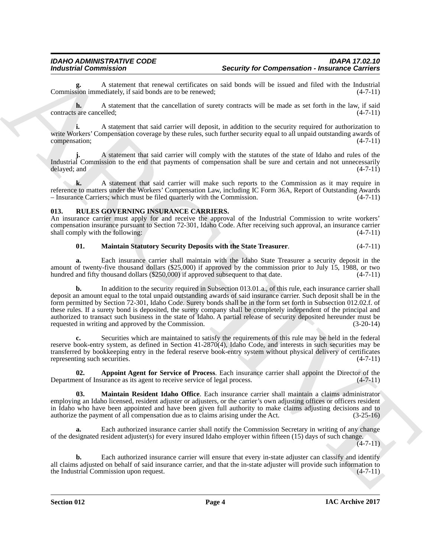**g.** A statement that renewal certificates on said bonds will be issued and filed with the Industrial Commission immediately, if said bonds are to be renewed;

**h.** A statement that the cancellation of surety contracts will be made as set forth in the law, if said (4-7-11) contracts are cancelled;

**i.** A statement that said carrier will deposit, in addition to the security required for authorization to write Workers' Compensation coverage by these rules, such further security equal to all unpaid outstanding awards of compensation;

**j.** A statement that said carrier will comply with the statutes of the state of Idaho and rules of the Industrial Commission to the end that payments of compensation shall be sure and certain and not unnecessarily delayed; and (4-7-11) delayed; and (4-7-11) (3) (4-7-11)

**k.** A statement that said carrier will make such reports to the Commission as it may require in reference to matters under the Workers' Compensation Law, including IC Form 36A, Report of Outstanding Awards<br>- Insurance Carriers; which must be filed quarterly with the Commission. (4-7-11) – Insurance Carriers; which must be filed quarterly with the Commission.

### <span id="page-3-2"></span><span id="page-3-0"></span>**013. RULES GOVERNING INSURANCE CARRIERS.**

An insurance carrier must apply for and receive the approval of the Industrial Commission to write workers' compensation insurance pursuant to Section 72-301, Idaho Code. After receiving such approval, an insurance carrier shall comply with the following: (4-7-11) shall comply with the following:

### <span id="page-3-1"></span>**01. Maintain Statutory Security Deposits with the State Treasurer**. (4-7-11)

**a.** Each insurance carrier shall maintain with the Idaho State Treasurer a security deposit in the amount of twenty-five thousand dollars (\$25,000) if approved by the commission prior to July 15, 1988, or two<br>hundred and fifty thousand dollars (\$250,000) if approved subsequent to that date. (4-7-11) hundred and fifty thousand dollars  $(\$250,000)$  if approved subsequent to that date.

For the state of the state of the state of the state of the state of the state of the state of the state of the state of the state of the state of the state of the state of the state of the state of the state of the state **b.** In addition to the security required in Subsection 013.01.a., of this rule, each insurance carrier shall deposit an amount equal to the total unpaid outstanding awards of said insurance carrier. Such deposit shall be in the form permitted by Section 72-301, Idaho Code. Surety bonds shall be in the form set forth in Subsection 012.02.f. of these rules. If a surety bond is deposited, the surety company shall be completely independent of the principal and authorized to transact such business in the state of Idaho. A partial release of security deposited hereunder must be requested in writing and approved by the Commission.  $(3-20-14)$ requested in writing and approved by the Commission.

**c.** Securities which are maintained to satisfy the requirements of this rule may be held in the federal reserve book-entry system, as defined in Section 41-2870(4), Idaho Code, and interests in such securities may be transferred by bookkeeping entry in the federal reserve book-entry system without physical delivery of certificates representing such securities. (4-7-11) representing such securities.

<span id="page-3-3"></span>**02. Appoint Agent for Service of Process**. Each insurance carrier shall appoint the Director of the Department of Insurance as its agent to receive service of legal process. (4-7-11)

<span id="page-3-4"></span>**03. Maintain Resident Idaho Office**. Each insurance carrier shall maintain a claims administrator employing an Idaho licensed, resident adjuster or adjusters, or the carrier's own adjusting offices or officers resident in Idaho who have been appointed and have been given full authority to make claims adjusting decisions and to authorize the payment of all compensation due as to claims arising under the Act. (3-25-16)

**a.** Each authorized insurance carrier shall notify the Commission Secretary in writing of any change of the designated resident adjuster(s) for every insured Idaho employer within fifteen (15) days of such change.

(4-7-11)

**b.** Each authorized insurance carrier will ensure that every in-state adjuster can classify and identify all claims adjusted on behalf of said insurance carrier, and that the in-state adjuster will provide such information to the Industrial Commission upon request. (4-7-11) the Industrial Commission upon request.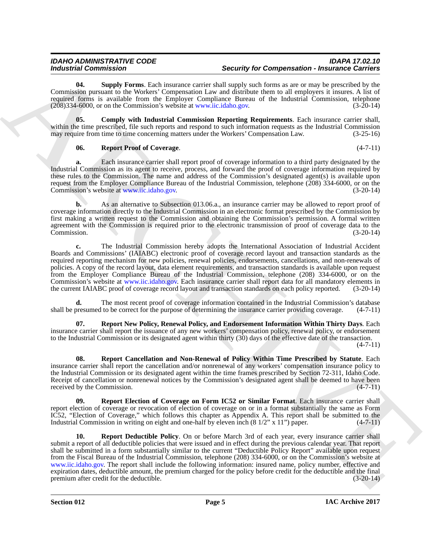### *IDAHO ADMINISTRATIVE CODE IDAPA 17.02.10 Security for Compensation - Insurance Carriers*

<span id="page-4-6"></span>**04. Supply Forms**. Each insurance carrier shall supply such forms as are or may be prescribed by the Commission pursuant to the Workers' Compensation Law and distribute them to all employers it insures. A list of required forms is available from the Employer Compliance Bureau of the Industrial Commission, telephone (208)334-6000, or on the Commission's website at www.iic.idaho.gov. (3-20-14)

**05. Comply with Industrial Commission Reporting Requirements**. Each insurance carrier shall, within the time prescribed, file such reports and respond to such information requests as the Industrial Commission may require from time to time concerning matters under the Workers' Compensation Law. (3-25-16)

### <span id="page-4-5"></span><span id="page-4-0"></span>**06. Report Proof of Coverage**. (4-7-11)

**a.** Each insurance carrier shall report proof of coverage information to a third party designated by the Industrial Commission as its agent to receive, process, and forward the proof of coverage information required by these rules to the Commission. The name and address of the Commission's designated agent(s) is available upon request from the Employer Compliance Bureau of the Industrial Commission, telephone (208) 334-6000, or on the Commission's website at www.iic.idaho.gov. (3-20-14)

**b.** As an alternative to Subsection 013.06.a., an insurance carrier may be allowed to report proof of coverage information directly to the Industrial Commission in an electronic format prescribed by the Commission by first making a written request to the Commission and obtaining the Commission's permission. A formal written agreement with the Commission is required prior to the electronic transmission of proof of coverage data to the Commission. (3-20-14) Commission. (3-20-14)

**c.** The Industrial Commission hereby adopts the International Association of Industrial Accident Boards and Commissions' (IAIABC) electronic proof of coverage record layout and transaction standards as the required reporting mechanism for new policies, renewal policies, endorsements, cancellations, and non-renewals of policies. A copy of the record layout, data element requirements, and transaction standards is available upon request from the Employer Compliance Bureau of the Industrial Commission, telephone (208) 334-6000, or on the Commission's website at www.iic.idaho.gov. Each insurance carrier shall report data for all mandatory elements in the current IAIABC proof of coverage record layout and transaction standards on each policy reported. (3-20-14)

**d.** The most recent proof of coverage information contained in the Industrial Commission's database shall be presumed to be correct for the purpose of determining the insurance carrier providing coverage.  $(4-7-11)$ 

<span id="page-4-4"></span>**07. Report New Policy, Renewal Policy, and Endorsement Information Within Thirty Days**. Each insurance carrier shall report the issuance of any new workers' compensation policy, renewal policy, or endorsement to the Industrial Commission or its designated agent within thirty (30) days of the effective date of the transaction. (4-7-11)

<span id="page-4-1"></span>**08. Report Cancellation and Non-Renewal of Policy Within Time Prescribed by Statute**. Each insurance carrier shall report the cancellation and/or nonrenewal of any workers' compensation insurance policy to the Industrial Commission or its designated agent within the time frames prescribed by Section 72-311, Idaho Code. Receipt of cancellation or nonrenewal notices by the Commission's designated agent shall be deemed to have been received by the Commission. (4-7-11) received by the Commission.

<span id="page-4-3"></span><span id="page-4-2"></span>**Report Election of Coverage on Form IC52 or Similar Format.** Each insurance carrier shall report election of coverage or revocation of election of coverage on or in a format substantially the same as Form IC52, "Election of Coverage," which follows this chapter as Appendix A. This report shall be submitted to the Industrial Commission in writing on eight and one-half by eleven inch (8 1/2" x 11") paper. (4-7-11)

Modularisti Commission in Single Excelse and Single Comments and supply for Comments and a specified by Eq. Commission in the single Excelse and the single Excelse and the single Excelse and the single Excelse and the sin **10. Report Deductible Policy**. On or before March 3rd of each year, every insurance carrier shall submit a report of all deductible policies that were issued and in effect during the previous calendar year. That report shall be submitted in a form substantially similar to the current "Deductible Policy Report" available upon request from the Fiscal Bureau of the Industrial Commission, telephone (208) 334-6000, or on the Commission's website at www.iic.idaho.gov. The report shall include the following information: insured name, policy number, effective and expiration dates, deductible amount, the premium charged for the policy before credit for the deductible and the final premium after credit for the deductible. (3-20-14) premium after credit for the deductible.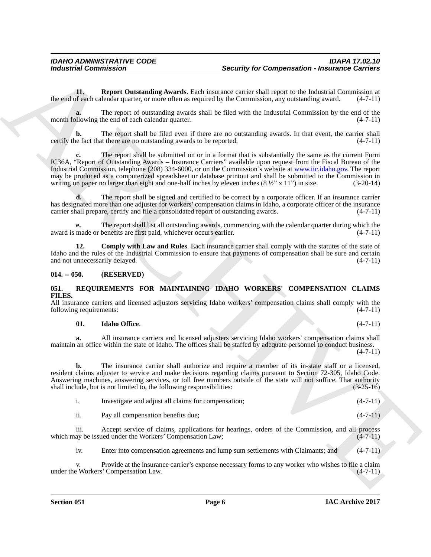<span id="page-5-5"></span>**11. Report Outstanding Awards**. Each insurance carrier shall report to the Industrial Commission at f each calendar quarter, or more often as required by the Commission, any outstanding award. (4-7-11) the end of each calendar quarter, or more often as required by the Commission, any outstanding award.

**a.** The report of outstanding awards shall be filed with the Industrial Commission by the end of the month following the end of each calendar quarter. (4-7-11)

**b.** The report shall be filed even if there are no outstanding awards. In that event, the carrier shall certify the fact that there are no outstanding awards to be reported.  $(4-7-11)$ 

For Compression <sup>2</sup> **Security for Compression - National Companies Companies and the same of the same of the same of the same of the same of the same of the same of the same of the same of the same of the same of the same c.** The report shall be submitted on or in a format that is substantially the same as the current Form IC36A, "Report of Outstanding Awards – Insurance Carriers" available upon request from the Fiscal Bureau of the Industrial Commission, telephone (208) 334-6000, or on the Commission's website at www.iic.idaho.gov. The report may be produced as a computerized spreadsheet or database printout and shall be submitted to the Commission in writing on paper no larger than eight and one-half inches by eleven inches  $(8 \frac{1}{2}$ " x 11") in size.  $(3-20-14)$ 

**d.** The report shall be signed and certified to be correct by a corporate officer. If an insurance carrier has designated more than one adjuster for workers' compensation claims in Idaho, a corporate officer of the insurance carrier shall prepare, certify and file a consolidated report of outstanding awards. (4-7-11)

**e.** The report shall list all outstanding awards, commencing with the calendar quarter during which the made or benefits are first paid, whichever occurs earlier. (4-7-11) award is made or benefits are first paid, whichever occurs earlier.

<span id="page-5-4"></span>**12. Comply with Law and Rules**. Each insurance carrier shall comply with the statutes of the state of Idaho and the rules of the Industrial Commission to ensure that payments of compensation shall be sure and certain and not unnecessarily delayed. (4-7-11) and not unnecessarily delayed.

### <span id="page-5-0"></span>**014. -- 050. (RESERVED)**

### <span id="page-5-2"></span><span id="page-5-1"></span>**051. REQUIREMENTS FOR MAINTAINING IDAHO WORKERS' COMPENSATION CLAIMS FILES.**

All insurance carriers and licensed adjustors servicing Idaho workers' compensation claims shall comply with the following requirements:  $(4-7-11)$ following requirements:

### <span id="page-5-3"></span>**01. Idaho Office**. (4-7-11)

**a.** All insurance carriers and licensed adjusters servicing Idaho workers' compensation claims shall maintain an office within the state of Idaho. The offices shall be staffed by adequate personnel to conduct business.

 $(4 - 7 - 11)$ 

**b.** The insurance carrier shall authorize and require a member of its in-state staff or a licensed, resident claims adjuster to service and make decisions regarding claims pursuant to Section 72-305, Idaho Code. Answering machines, answering services, or toll free numbers outside of the state will not suffice. That authority shall include, but is not limited to, the following responsibilities: (3-25-16) shall include, but is not limited to, the following responsibilities:

|     | Investigate and adjust all claims for compensation; | $(4-7-11)$     |
|-----|-----------------------------------------------------|----------------|
| . . | Pay all compensation benefits due:                  | $(4 - 7 - 11)$ |

iii. Accept service of claims, applications for hearings, orders of the Commission, and all process ay be issued under the Workers' Compensation Law; (4-7-11) which may be issued under the Workers' Compensation Law;

iv. Enter into compensation agreements and lump sum settlements with Claimants; and (4-7-11)

v. Provide at the insurance carrier's expense necessary forms to any worker who wishes to file a claim<br>e Workers' Compensation Law. (4-7-11) under the Workers' Compensation Law.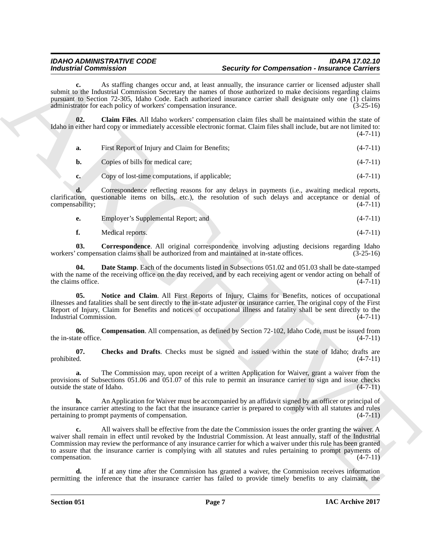## *IDAHO ADMINISTRATIVE CODE IDAPA 17.02.10 Industrial Commission Security for Compensation - Insurance Carriers*

**c.** As staffing changes occur and, at least annually, the insurance carrier or licensed adjuster shall submit to the Industrial Commission Secretary the names of those authorized to make decisions regarding claims pursuant to Section 72-305, Idaho Code. Each authorized insurance carrier shall designate only one (1) claims administrator for each policy of workers' compensation insurance. (3-25-16)

**02. Claim Files**. All Idaho workers' compensation claim files shall be maintained within the state of Idaho in either hard copy or immediately accessible electronic format. Claim files shall include, but are not limited to:  $(4 - 7 - 11)$ 

<span id="page-6-1"></span>

| а.        | First Report of Injury and Claim for Benefits; | $(4-7-11)$ |
|-----------|------------------------------------------------|------------|
| <b>b.</b> | Copies of bills for medical care;              | $(4-7-11)$ |

**c.** Copy of lost-time computations, if applicable; (4-7-11)

**d.** Correspondence reflecting reasons for any delays in payments (i.e., awaiting medical reports, clarification, questionable items on bills, etc.), the resolution of such delays and acceptance or denial of compensability:  $(4-7-11)$ compensability;

|  | Employer's Supplemental Report; and |  | $(4-7-11)$ |
|--|-------------------------------------|--|------------|
|--|-------------------------------------|--|------------|

<span id="page-6-4"></span><span id="page-6-3"></span>**f.** Medical reports. (4-7-11)

**03. Correspondence**. All original correspondence involving adjusting decisions regarding Idaho workers' compensation claims shall be authorized from and maintained at in-state offices. (3-25-16)

**04. Date Stamp**. Each of the documents listed in Subsections 051.02 and 051.03 shall be date-stamped with the name of the receiving office on the day received, and by each receiving agent or vendor acting on behalf of the claims office. (4-7-11) the claims office.

<span id="page-6-5"></span>**05. Notice and Claim**. All First Reports of Injury, Claims for Benefits, notices of occupational illnesses and fatalities shall be sent directly to the in-state adjuster or insurance carrier. The original copy of the First Report of Injury, Claim for Benefits and notices of occupational illness and fatality shall be sent directly to the Industrial Commission. (4-7-11)

<span id="page-6-2"></span>**06. Compensation**. All compensation, as defined by Section 72-102, Idaho Code, must be issued from the in-state office.  $(4-7-11)$ 

<span id="page-6-0"></span>**07.** Checks and Drafts. Checks must be signed and issued within the state of Idaho; drafts are prohibited. (4-7-11) prohibited. (4-7-11)

**a.** The Commission may, upon receipt of a written Application for Waiver, grant a waiver from the provisions of Subsections 051.06 and 051.07 of this rule to permit an insurance carrier to sign and issue checks outside the state of Idaho.  $(4-7-11)$ outside the state of Idaho.

**b.** An Application for Waiver must be accompanied by an affidavit signed by an officer or principal of the insurance carrier attesting to the fact that the insurance carrier is prepared to comply with all statutes and rules pertaining to prompt payments of compensation. (4-7-11)

For the matrix of the matrix of the state of the state of the state of the state of the matrix of the matrix of the matrix of the matrix of the matrix of the matrix of the matrix of the matrix of the matrix of the matrix **c.** All waivers shall be effective from the date the Commission issues the order granting the waiver. A waiver shall remain in effect until revoked by the Industrial Commission. At least annually, staff of the Industrial Commission may review the performance of any insurance carrier for which a waiver under this rule has been granted to assure that the insurance carrier is complying with all statutes and rules pertaining to prompt payments of compensation. (4-7-11) compensation.

**d.** If at any time after the Commission has granted a waiver, the Commission receives information permitting the inference that the insurance carrier has failed to provide timely benefits to any claimant, the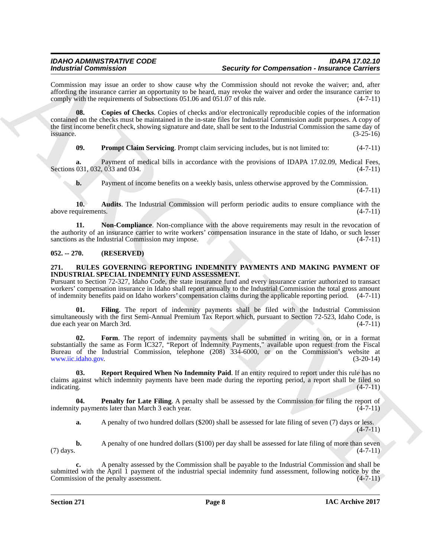# *IDAHO ADMINISTRATIVE CODE IDAPA 17.02.10 Security for Compensation - Insurance Carriers*

Commission may issue an order to show cause why the Commission should not revoke the waiver; and, after affording the insurance carrier an opportunity to be heard, may revoke the waiver and order the insurance carrier to comply with the requirements of Subsections 051.06 and 051.07 of this rule. (4-7-11) comply with the requirements of Subsections 051.06 and 051.07 of this rule.

**Example 20. Consistent in the comparison of the comparison of the comparison of the comparison of the comparison of the comparison of the comparison of the comparison of the comparison of the comparison of the comparis 08. Copies of Checks**. Copies of checks and/or electronically reproducible copies of the information contained on the checks must be maintained in the in-state files for Industrial Commission audit purposes. A copy of the first income benefit check, showing signature and date, shall be sent to the Industrial Commission the same day of issuance. (3-25-16)  $is$ suance.  $(3-25-16)$ 

<span id="page-7-5"></span><span id="page-7-3"></span>**09. Prompt Claim Servicing**. Prompt claim servicing includes, but is not limited to: (4-7-11)

**a.** Payment of medical bills in accordance with the provisions of IDAPA 17.02.09, Medical Fees, 031, 032, 033 and 034.  $(4-7-11)$ Sections 031, 032, 033 and 034.

<span id="page-7-4"></span><span id="page-7-2"></span>**b.** Payment of income benefits on a weekly basis, unless otherwise approved by the Commission.

 $(4 - 7 - 11)$ 

**10. Audits**. The Industrial Commission will perform periodic audits to ensure compliance with the above requirements. (4-7-11)

**11. Non-Compliance**. Non-compliance with the above requirements may result in the revocation of the authority of an insurance carrier to write workers' compensation insurance in the state of Idaho, or such lesser sanctions as the Industrial Commission may impose.  $(4-7-11)$ sanctions as the Industrial Commission may impose.

### <span id="page-7-0"></span>**052. -- 270. (RESERVED)**

### <span id="page-7-8"></span><span id="page-7-1"></span>**271. RULES GOVERNING REPORTING INDEMNITY PAYMENTS AND MAKING PAYMENT OF INDUSTRIAL SPECIAL INDEMNITY FUND ASSESSMENT.**

Pursuant to Section 72-327, Idaho Code, the state insurance fund and every insurance carrier authorized to transact workers' compensation insurance in Idaho shall report annually to the Industrial Commission the total gross amount of indemnity benefits paid on Idaho workers' compensation claims during the applicable reporting period. (4-7-11)

<span id="page-7-9"></span>Filing. The report of indemnity payments shall be filed with the Industrial Commission simultaneously with the first Semi-Annual Premium Tax Report which, pursuant to Section 72-523, Idaho Code, is due each year on March 3rd. (4-7-11) due each year on March 3rd.

<span id="page-7-10"></span>**02. Form**. The report of indemnity payments shall be submitted in writing on, or in a format substantially the same as Form IC327, "Report of Indemnity Payments," available upon request from the Fiscal Bureau of the Industrial Commission, telephone (208) 334-6000, or on the Commission's website at www.iic.idaho.gov. (3-20-14)

<span id="page-7-7"></span>**03. Report Required When No Indemnity Paid**. If an entity required to report under this rule has no claims against which indemnity payments have been made during the reporting period, a report shall be filed so indicating.  $(4-7-11)$ indicating. (4-7-11)

**04. Penalty for Late Filing**. A penalty shall be assessed by the Commission for filing the report of v payments later than March 3 each vear. indemnity payments later than March 3 each year.

<span id="page-7-6"></span>**a.** A penalty of two hundred dollars (\$200) shall be assessed for late filing of seven (7) days or less.  $(4 - 7 - 11)$ 

**b.** A penalty of one hundred dollars (\$100) per day shall be assessed for late filing of more than seven (4-7-11) (7) days.  $(4-7-11)$ 

**c.** A penalty assessed by the Commission shall be payable to the Industrial Commission and shall be submitted with the April 1 payment of the industrial special indemnity fund assessment, following notice by the Commission of the penalty assessment.  $(4-7-11)$ Commission of the penalty assessment.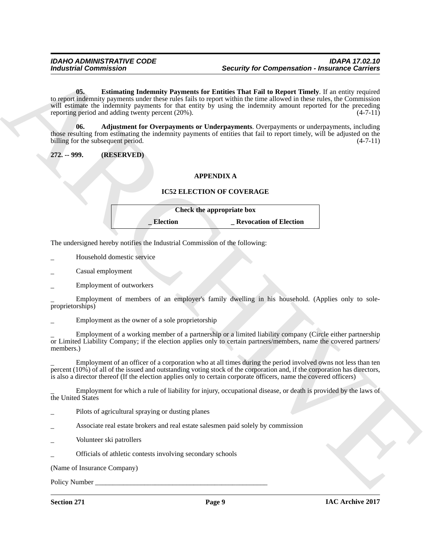For the contribution of the comparison of the comparison of the comparison of the comparison of the comparison of the comparison of the comparison of the comparison of the comparison of the comparison of the comparison of **05. Estimating Indemnity Payments for Entities That Fail to Report Timely**. If an entity required to report indemnity payments under these rules fails to report within the time allowed in these rules, the Commission will estimate the indemnity payments for that entity by using the indemnity amount reported for the preceding reporting period and adding twenty percent (20%). (4-7-11)

<span id="page-8-2"></span><span id="page-8-1"></span>**06. Adjustment for Overpayments or Underpayments**. Overpayments or underpayments, including those resulting from estimating the indemnity payments of entities that fail to report timely, will be adjusted on the billing for the subsequent period. (4-7-11)

<span id="page-8-0"></span>**272. -- 999. (RESERVED)**

### **APPENDIX A**

### **IC52 ELECTION OF COVERAGE**

| Check the appropriate box |                               |  |
|---------------------------|-------------------------------|--|
| <b>Election</b>           | <b>Revocation of Election</b> |  |

The undersigned hereby notifies the Industrial Commission of the following:

- \_ Household domestic service
- \_ Casual employment
- \_ Employment of outworkers

Employment of members of an employer's family dwelling in his household. (Applies only to soleproprietorships)

Employment as the owner of a sole proprietorship

\_ Employment of a working member of a partnership or a limited liability company (Circle either partnership or Limited Liability Company; if the election applies only to certain partners/members, name the covered partners/ members.)

\_ Employment of an officer of a corporation who at all times during the period involved owns not less than ten percent (10%) of all of the issued and outstanding voting stock of the corporation and, if the corporation has directors, is also a director thereof (If the election applies only to certain corporate officers, name the covered officers)

\_ Employment for which a rule of liability for injury, occupational disease, or death is provided by the laws of the United States

- Pilots of agricultural spraying or dusting planes
- Associate real estate brokers and real estate salesmen paid solely by commission
- Volunteer ski patrollers

\_ Officials of athletic contests involving secondary schools

(Name of Insurance Company)

Policy Number \_\_\_\_\_\_\_\_\_\_\_\_\_\_\_\_\_\_\_\_\_\_\_\_\_\_\_\_\_\_\_\_\_\_\_\_\_\_\_\_\_\_\_\_\_\_\_\_\_

**Section 271 Page 9**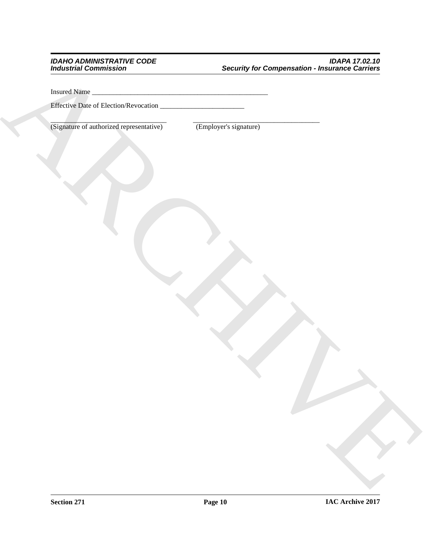# ARCHIVE *IDAHO ADMINISTRATIVE CODE IDAPA 17.02.10 Industrial Commission Security for Compensation - Insurance Carriers*

Insured Name \_\_\_\_\_\_\_\_\_\_\_\_\_\_\_\_\_\_\_\_\_\_\_\_\_\_\_\_\_\_\_\_\_\_\_\_\_\_\_\_\_\_\_\_\_\_\_\_\_\_

Effective Date of Election/Revocation \_\_\_\_\_\_\_\_\_\_\_\_\_\_\_\_\_\_\_\_\_\_\_\_

\_\_\_\_\_\_\_\_\_\_\_\_\_\_\_\_\_\_\_\_\_\_\_\_\_\_\_\_\_\_\_\_\_ \_\_\_\_\_\_\_\_\_\_\_\_\_\_\_\_\_\_\_\_\_\_\_\_\_\_\_\_\_\_\_\_\_\_\_\_ (Signature of authorized representative) (Employer's signature)